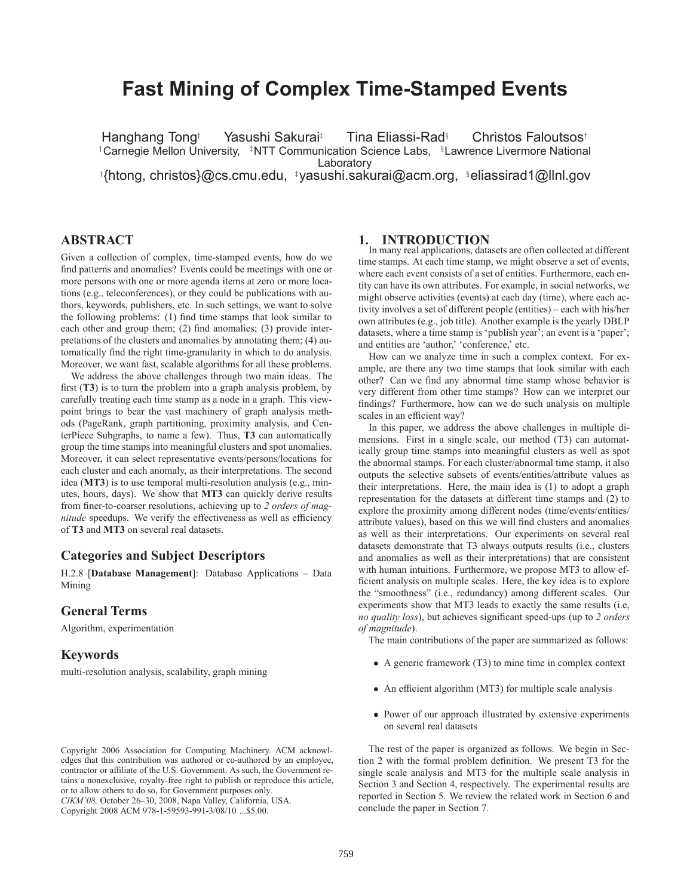# **Fast Mining of Complex Time-Stamped Events**

Hanghang Tong† Yasushi Sakurai‡ Tina Eliassi-Rad<sup>§</sup> Christos Faloutsos† †Carnegie Mellon University, <sup>‡</sup>NTT Communication Science Labs, <sup>§</sup>Lawrence Livermore National Laboratory † {htong, christos}@cs.cmu.edu, ‡yasushi.sakurai@acm.org, §eliassirad1@llnl.gov

# **ABSTRACT**

Given a collection of complex, time-stamped events, how do we find patterns and anomalies? Events could be meetings with one or more persons with one or more agenda items at zero or more locations (e.g., teleconferences), or they could be publications with authors, keywords, publishers, etc. In such settings, we want to solve the following problems: (1) find time stamps that look similar to each other and group them; (2) find anomalies; (3) provide interpretations of the clusters and anomalies by annotating them; (4) automatically find the right time-granularity in which to do analysis. Moreover, we want fast, scalable algorithms for all these problems.

We address the above challenges through two main ideas. The first (**T3**) is to turn the problem into a graph analysis problem, by carefully treating each time stamp as a node in a graph. This viewpoint brings to bear the vast machinery of graph analysis methods (PageRank, graph partitioning, proximity analysis, and CenterPiece Subgraphs, to name a few). Thus, **T3** can automatically group the time stamps into meaningful clusters and spot anomalies. Moreover, it can select representative events/persons/locations for each cluster and each anomaly, as their interpretations. The second idea (**MT3**) is to use temporal multi-resolution analysis (e.g., minutes, hours, days). We show that **MT3** can quickly derive results from finer-to-coarser resolutions, achieving up to *2 orders of magnitude* speedups. We verify the effectiveness as well as efficiency of **T3** and **MT3** on several real datasets.

## **Categories and Subject Descriptors**

H.2.8 [**Database Management**]: Database Applications – Data Mining

## **General Terms**

Algorithm, experimentation

## **Keywords**

multi-resolution analysis, scalability, graph mining

## **1. INTRODUCTION**

In many real applications, datasets are often collected at different time stamps. At each time stamp, we might observe a set of events, where each event consists of a set of entities. Furthermore, each entity can have its own attributes. For example, in social networks, we might observe activities (events) at each day (time), where each activity involves a set of different people (entities) – each with his/her own attributes (e.g., job title). Another example is the yearly DBLP datasets, where a time stamp is 'publish year'; an event is a 'paper'; and entities are 'author,' 'conference,' etc.

How can we analyze time in such a complex context. For example, are there any two time stamps that look similar with each other? Can we find any abnormal time stamp whose behavior is very different from other time stamps? How can we interpret our findings? Furthermore, how can we do such analysis on multiple scales in an efficient way?

In this paper, we address the above challenges in multiple dimensions. First in a single scale, our method (T3) can automatically group time stamps into meaningful clusters as well as spot the abnormal stamps. For each cluster/abnormal time stamp, it also outputs the selective subsets of events/entities/attribute values as their interpretations. Here, the main idea is (1) to adopt a graph representation for the datasets at different time stamps and (2) to explore the proximity among different nodes (time/events/entities/ attribute values), based on this we will find clusters and anomalies as well as their interpretations. Our experiments on several real datasets demonstrate that T3 always outputs results (i.e., clusters and anomalies as well as their interpretations) that are consistent with human intuitions. Furthermore, we propose MT3 to allow efficient analysis on multiple scales. Here, the key idea is to explore the "smoothness" (i.e., redundancy) among different scales. Our experiments show that MT3 leads to exactly the same results (i.e, *no quality loss*), but achieves significant speed-ups (up to *2 orders of magnitude*).

The main contributions of the paper are summarized as follows:

- A generic framework (T3) to mine time in complex context
- An efficient algorithm (MT3) for multiple scale analysis
- Power of our approach illustrated by extensive experiments on several real datasets

The rest of the paper is organized as follows. We begin in Section 2 with the formal problem definition. We present T3 for the single scale analysis and MT3 for the multiple scale analysis in Section 3 and Section 4, respectively. The experimental results are reported in Section 5. We review the related work in Section 6 and conclude the paper in Section 7.

Copyright 2006 Association for Computing Machinery. ACM acknowledges that this contribution was authored or co-authored by an employee, contractor or affiliate of the U.S. Government. As such, the Government retains a nonexclusive, royalty-free right to publish or reproduce this article, or to allow others to do so, for Government purposes only. *CIKM'08,* October 26–30, 2008, Napa Valley, California, USA. Copyright 2008 ACM 978-1-59593-991-3/08/10 ...\$5.00.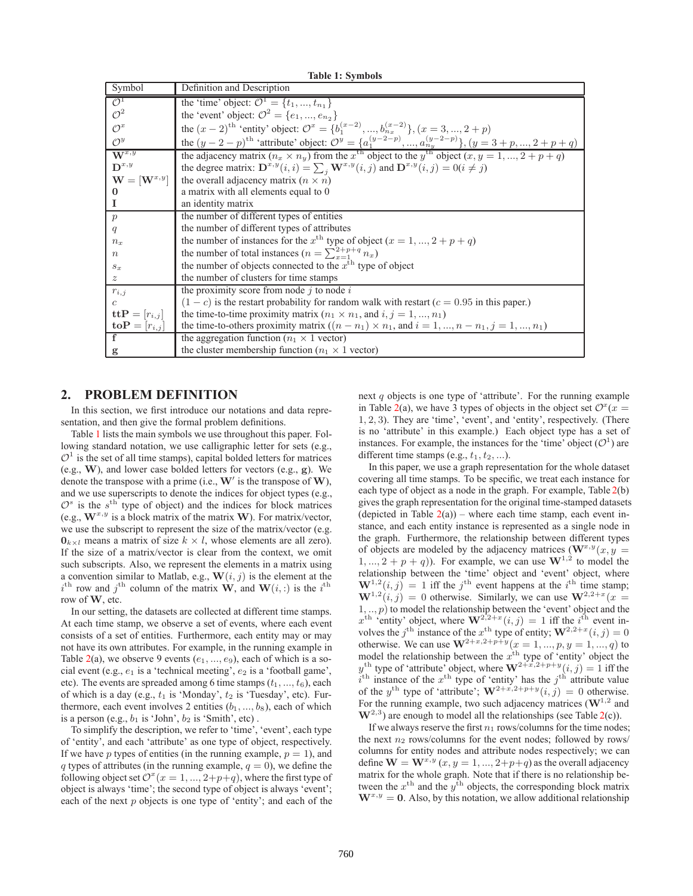<span id="page-1-0"></span>

| TADIC 1. DYNIUOD                  |                                                                                                                                 |  |  |  |  |
|-----------------------------------|---------------------------------------------------------------------------------------------------------------------------------|--|--|--|--|
| Symbol                            | Definition and Description                                                                                                      |  |  |  |  |
| $\mathcal{O}^1$                   | the 'time' object: $\mathcal{O}^1 = \{t_1, , t_{n_1}\}\$                                                                        |  |  |  |  |
| $\mathcal{O}^2$                   | the 'event' object: $\mathcal{O}^2 = \{e_1, , e_{n_2}\}\$                                                                       |  |  |  |  |
| $\mathcal{O}^x$                   | the $(x - 2)^{th}$ 'entity' object: $\mathcal{O}^x = \{b_1^{(x-2)},, b_{n_x}^{(x-2)}\}$ , $(x = 3,, 2 + p)$                     |  |  |  |  |
| $\mathcal{O}^y$                   | the $(y-2-p)^{th}$ 'attribute' object: $\mathcal{O}^y = \{a_1^{(y-2-p)},,a_{n_y}^{(y-2-p)}\}$ , $(y=3+p,,2+p+q)$                |  |  |  |  |
| $\overline{\mathbf{W}^{x,y}}$     | the adjacency matrix $(n_x \times n_y)$ from the $x^{\text{th}}$ object to the $y^{\text{th}}$ object $(x, y = 1, , 2 + p + q)$ |  |  |  |  |
| $\mathbf{D}^{x,y}$                | the degree matrix: $\mathbf{D}^{x,y}(i,i) = \sum_i \mathbf{W}^{x,y}(i,j)$ and $\mathbf{D}^{x,y}(i,j) = 0 (i \neq j)$            |  |  |  |  |
| $\mathbf{W} = [\mathbf{W}^{x,y}]$ | the overall adjacency matrix $(n \times n)$                                                                                     |  |  |  |  |
| $\bf{0}$                          | a matrix with all elements equal to 0                                                                                           |  |  |  |  |
| <b>I</b>                          | an identity matrix                                                                                                              |  |  |  |  |
| $\boldsymbol{p}$                  | the number of different types of entities                                                                                       |  |  |  |  |
| q                                 | the number of different types of attributes                                                                                     |  |  |  |  |
| $n_x$                             | the number of instances for the $x^{\text{th}}$ type of object $(x = 1, , 2 + p + q)$                                           |  |  |  |  |
| $\boldsymbol{n}$                  | the number of total instances $(n = \sum_{x=1}^{2+p+q} n_x)$                                                                    |  |  |  |  |
| $s_x$                             | the number of objects connected to the $x^{\text{th}}$ type of object                                                           |  |  |  |  |
| $\mathcal{Z}$                     | the number of clusters for time stamps                                                                                          |  |  |  |  |
| $r_{i,j}$                         | the proximity score from node $j$ to node $i$                                                                                   |  |  |  |  |
| $\mathcal{C}$                     | $(1 - c)$ is the restart probability for random walk with restart $(c = 0.95$ in this paper.)                                   |  |  |  |  |
| $\mathbf{ttP}=[r_{i,j}]$          | the time-to-time proximity matrix $(n_1 \times n_1, \text{ and } i, j = 1, , n_1)$                                              |  |  |  |  |
| $\mathbf{toP}=[r_{i,j}]$          | the time-to-others proximity matrix $((n - n_1) \times n_1)$ , and $i = 1, , n - n_1, j = 1, , n_1)$                            |  |  |  |  |
| $\mathbf{f}$                      | the aggregation function ( $n_1 \times 1$ vector)                                                                               |  |  |  |  |
| g                                 | the cluster membership function ( $n_1 \times 1$ vector)                                                                        |  |  |  |  |
|                                   |                                                                                                                                 |  |  |  |  |

**Table 1: Symbols**

# **2. PROBLEM DEFINITION**

In this section, we first introduce our notations and data representation, and then give the formal problem definitions.

Table [1](#page-1-0) lists the main symbols we use throughout this paper. Following standard notation, we use calligraphic letter for sets (e.g.,  $\mathcal{O}^1$  is the set of all time stamps), capital bolded letters for matrices (e.g., **W**), and lower case bolded letters for vectors (e.g., **g**). We denote the transpose with a prime (i.e.,  $W'$  is the transpose of  $W$ ), and we use superscripts to denote the indices for object types (e.g.,  $\mathcal{O}^s$  is the s<sup>th</sup> type of object) and the indices for block matrices (e.g.,  $W^{x,y}$  is a block matrix of the matrix W). For matrix/vector, we use the subscript to represent the size of the matrix/vector (e.g.  $\mathbf{0}_{k \times l}$  means a matrix of size  $k \times l$ , whose elements are all zero). If the size of a matrix/vector is clear from the context, we omit such subscripts. Also, we represent the elements in a matrix using a convention similar to Matlab, e.g.,  $\mathbf{W}(i, j)$  is the element at the  $i^{\text{th}}$  row and  $j^{\text{th}}$  column of the matrix **W**, and **W**(i, :) is the  $i^{\text{th}}$  row of **W** etc row of **W**, etc.

In our setting, the datasets are collected at different time stamps. At each time stamp, we observe a set of events, where each event consists of a set of entities. Furthermore, each entity may or may not have its own attributes. For example, in the running example in Table [2\(](#page-2-0)a), we observe 9 events  $(e_1, ..., e_9)$ , each of which is a social event (e.g.,  $e_1$  is a 'technical meeting',  $e_2$  is a 'football game', etc). The events are spreaded among 6 time stamps  $(t_1, ..., t_6)$ , each of which is a day (e.g.,  $t_1$  is 'Monday',  $t_2$  is 'Tuesday', etc). Furthermore, each event involves 2 entities  $(b_1, ..., b_8)$ , each of which is a person (e.g.,  $b_1$  is 'John',  $b_2$  is 'Smith', etc).

To simplify the description, we refer to 'time', 'event', each type of 'entity', and each 'attribute' as one type of object, respectively. If we have p types of entities (in the running example,  $p = 1$ ), and q types of attributes (in the running example,  $q = 0$ ), we define the following object set  $\mathcal{O}^{x}(x = 1, ..., 2+p+q)$ , where the first type of object is always 'time'; the second type of object is always 'event'; each of the next  $p$  objects is one type of 'entity'; and each of the next  $q$  objects is one type of 'attribute'. For the running example in Table [2\(](#page-2-0)a), we have 3 types of objects in the object set  $\mathcal{O}^{x}(x =$ 1, 2, 3). They are 'time', 'event', and 'entity', respectively. (There is no 'attribute' in this example.) Each object type has a set of instances. For example, the instances for the 'time' object  $(\mathcal{O}^1)$  are different time stamps (e.g.,  $t_1, t_2, ...$ ).

In this paper, we use a graph representation for the whole dataset covering all time stamps. To be specific, we treat each instance for each type of object as a node in the graph. For example, Table [2\(](#page-2-0)b) gives the graph representation for the original time-stamped datasets (depicted in Table  $2(a)$  $2(a)$ ) – where each time stamp, each event instance, and each entity instance is represented as a single node in the graph. Furthermore, the relationship between different types of objects are modeled by the adjacency matrices ( $\mathbf{W}^{x,y}(x, y)$  = 1, ...,  $2 + p + q$ ). For example, we can use  $W^{1,2}$  to model the relationship between the 'time' object and 'event' object, where  $\mathbf{W}^{1,2}(i,j) = 1$  iff the j<sup>th</sup> event happens at the i<sup>th</sup> time stamp;<br> $\mathbf{W}^{1,2}(i, i) = 0$  otherwise. Similarly we can use  $\mathbf{W}^{2,2+x}(x-1)$  $\mathbf{W}^{1,2}(i,j) = 0$  otherwise. Similarly, we can use  $\mathbf{W}^{2,2+x}(x = 1, n)$  to model the relationship between the 'event' object and the 1, .., p) to model the relationship between the 'event' object and the  $x^{\text{th}}$  'entity' object, where  $\mathbf{W}^{2,2+x}(i,j) = 1$  iff the  $i^{\text{th}}$  event in $x^{\text{th}}$  'entity' object, where  $\mathbf{W}^{2,2+x}(i,j)=1$  iff the i<br>volves the *i*<sup>th</sup> instance of the *x*<sup>th</sup> type of entity:  $\mathbf{W}^{2,2+}$ volves the *j*<sup>th</sup> instance of the *x*<sup>th</sup> type of entity;  $\mathbf{W}^{2,2+x}(i,j)=0$ <br>otherwise. We can use  $\mathbf{W}^{2+x,2+p+y}(x-1-n, y-1-a)$  to otherwise. We can use  $\mathbf{W}^{2+x,2+p+y}(x=1,...,p, y=1,...,q)$  to model the relationship between the  $x^{\text{th}}$  type of 'entity' object the model the relationship between the  $x^{\text{th}}$  type of 'entity' object the  $y^{\text{th}}$  type of 'attribute' object, where  $\mathbf{W}^{2+\bar{x},2+p+y}(i,j)=1$  iff the  $i^{\text{th}}$  instance of the  $x^{\text{th}}$  type of 'entity' has the  $j^{\text{th}}$  attribute value of the y<sup>th</sup> type of 'attribute';  $\mathbf{W}^{2+x,2+p+y}(i,j)=0$  otherwise. For the running example, two such adjacency matrices  $(\mathbf{W}^{1,2})$  and  $W^{2,3}$ ) are enough to model all the relationships (see Table [2\(](#page-2-0)c)).

If we always reserve the first  $n_1$  rows/columns for the time nodes; the next  $n_2$  rows/columns for the event nodes; followed by rows/ columns for entity nodes and attribute nodes respectively; we can define  $\mathbf{W} = \mathbf{W}^{x,y}$  (x, y = 1, ..., 2+p+q) as the overall adjacency matrix for the whole graph. Note that if there is no relationship between the  $x^{\text{th}}$  and the  $y^{\text{th}}$  objects, the corresponding block matrix  $W^{x,y} = 0$ . Also, by this notation, we allow additional relationship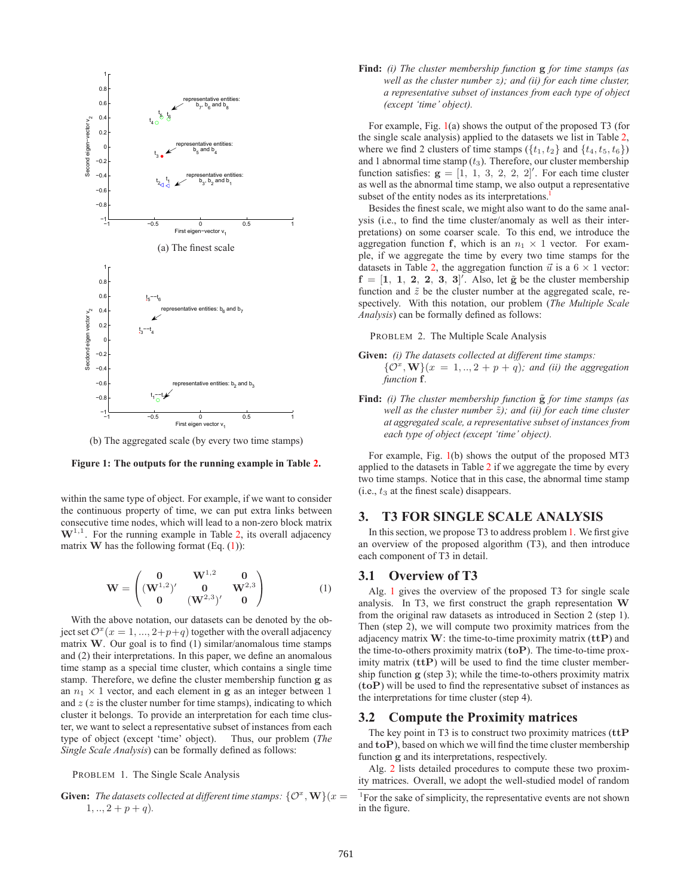

(b) The aggregated scale (by every two time stamps)

<span id="page-2-1"></span>

within the same type of object. For example, if we want to consider the continuous property of time, we can put extra links between consecutive time nodes, which will lead to a non-zero block matrix  $W^{1,1}$ . For the running example in Table [2,](#page-2-0) its overall adjacency matrix **W** has the following format  $(Eq. (1))$  $(Eq. (1))$  $(Eq. (1))$ :

$$
\mathbf{W} = \begin{pmatrix} \mathbf{0} & \mathbf{W}^{1,2} & \mathbf{0} \\ (\mathbf{W}^{1,2})' & \mathbf{0} & \mathbf{W}^{2,3} \\ \mathbf{0} & (\mathbf{W}^{2,3})' & \mathbf{0} \end{pmatrix}
$$
 (1)

<span id="page-2-0"></span>With the above notation, our datasets can be denoted by the object set  $\mathcal{O}^{x}(x=1,..., 2+p+q)$  together with the overall adjacency matrix **W**. Our goal is to find (1) similar/anomalous time stamps and (2) their interpretations. In this paper, we define an anomalous time stamp as a special time cluster, which contains a single time stamp. Therefore, we define the cluster membership function **g** as an  $n_1 \times 1$  vector, and each element in **g** as an integer between 1 and  $z$  ( $z$  is the cluster number for time stamps), indicating to which cluster it belongs. To provide an interpretation for each time cluster, we want to select a representative subset of instances from each type of object (except 'time' object). Thus, our problem (*The Single Scale Analysis*) can be formally defined as follows:

PROBLEM 1. The Single Scale Analysis

<span id="page-2-3"></span>**Given:** *The datasets collected at different time stamps:*  $\{O^x, \mathbf{W}\}(x)$  $1, ..., 2 + p + q$ ).

**Find:** *(i) The cluster membership function* **g** *for time stamps (as well as the cluster number* z*); and (ii) for each time cluster, a representative subset of instances from each type of object (except 'time' object).*

For example, Fig. [1\(](#page-2-1)a) shows the output of the proposed T3 (for the single scale analysis) applied to the datasets we list in Table [2,](#page-2-0) where we find 2 clusters of time stamps  $({t_1, t_2}$  and  ${t_4, t_5, t_6}$ and 1 abnormal time stamp  $(t_3)$ . Therefore, our cluster membership function satisfies:  $\mathbf{g} = \begin{bmatrix} 1, 1, 3, 2, 2, 2 \end{bmatrix}$ . For each time cluster as well as the abnormal time stamp, we also output a representative as well as the abnormal time stamp, we also output a representative subset of the entity nodes as its interpretations.<sup>1</sup>

Besides the finest scale, we might also want to do the same analysis (i.e., to find the time cluster/anomaly as well as their interpretations) on some coarser scale. To this end, we introduce the aggregation function **f**, which is an  $n_1 \times 1$  vector. For example, if we aggregate the time by every two time stamps for the datasets in Table [2,](#page-2-0) the aggregation function  $\vec{u}$  is a 6 × 1 vector:<br> $\mathbf{f} = \begin{bmatrix} 1 & 1 & 2 & 2 & 3 & 3 \end{bmatrix}'$  Also let  $\vec{\alpha}$  be the cluster membership  $f = [1, 1, 2, 2, 3, 3]$ . Also, let  $\tilde{g}$  be the cluster membership function and  $\tilde{z}$  be the cluster number at the aggregated scale, refunction and  $\tilde{z}$  be the cluster number at the aggregated scale, respectively. With this notation, our problem (*The Multiple Scale Analysis*) can be formally defined as follows:

PROBLEM 2. The Multiple Scale Analysis

- <span id="page-2-4"></span>**Given:** *(i) The datasets collected at different time stamps:*  $\{\mathcal{O}^x, \mathbf{W}\}(x = 1,.., 2 + p + q)$ ; and (ii) the aggregation *function* **f***.*
- **Find:** *(i)* The cluster membership function  $\tilde{g}$  for time stamps (as *well as the cluster number*  $\tilde{z}$ *); and (ii) for each time cluster at aggregated scale, a representative subset of instances from each type of object (except 'time' object).*

For example, Fig. [1\(](#page-2-1)b) shows the output of the proposed MT3 applied to the datasets in Table [2](#page-2-0) if we aggregate the time by every two time stamps. Notice that in this case, the abnormal time stamp  $(i.e., t<sub>3</sub> at the finest scale) disappears.$ 

## **3. T3 FOR SINGLE SCALE ANALYSIS**

In this section, we propose T3 to address problem[1.](#page-2-3) We first give an overview of the proposed algorithm (T3), and then introduce each component of T3 in detail.

## **3.1 Overview of T3**

Alg. [1](#page-3-0) gives the overview of the proposed T3 for single scale analysis. In T3, we first construct the graph representation **W** from the original raw datasets as introduced in Section 2 (step 1). Then (step 2), we will compute two proximity matrices from the adjacency matrix **W**: the time-to-time proximity matrix (**ttP**) and the time-to-others proximity matrix (**toP**). The time-to-time proximity matrix (**ttP**) will be used to find the time cluster membership function **g** (step 3); while the time-to-others proximity matrix (**toP**) will be used to find the representative subset of instances as the interpretations for time cluster (step 4).

#### **3.2 Compute the Proximity matrices**

The key point in T3 is to construct two proximity matrices (**ttP** and **toP**), based on which we will find the time cluster membership function **g** and its interpretations, respectively.

Alg. [2](#page-3-1) lists detailed procedures to compute these two proximity matrices. Overall, we adopt the well-studied model of random

<span id="page-2-2"></span><sup>&</sup>lt;sup>1</sup>For the sake of simplicity, the representative events are not shown in the figure.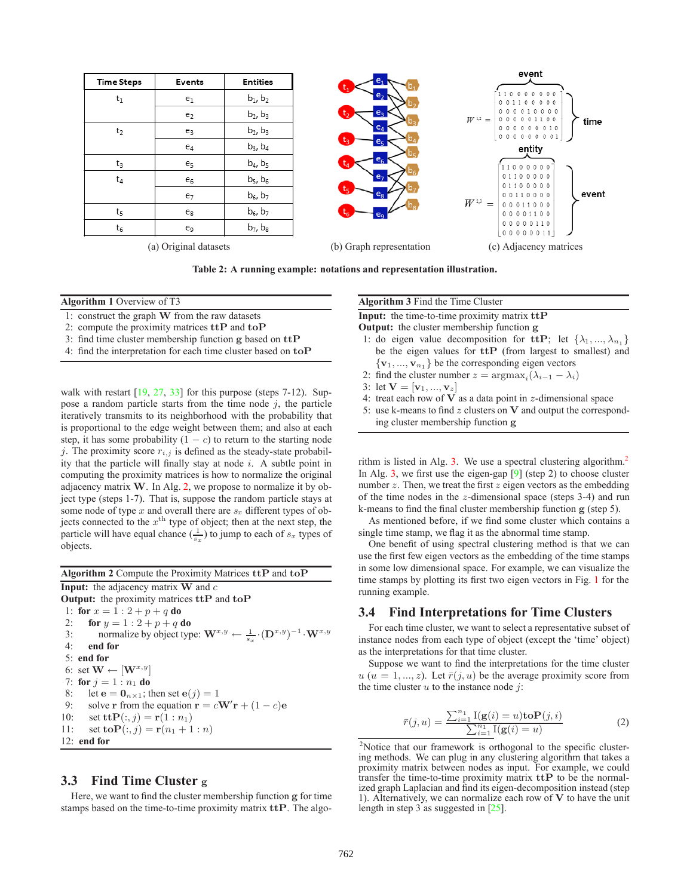

**Table 2: A running example: notations and representation illustration.**

#### <span id="page-3-0"></span>**Algorithm 1** Overview of T3

- 1: construct the graph **W** from the raw datasets
- 2: compute the proximity matrices **ttP** and **toP**
- 3: find time cluster membership function **g** based on **ttP**
- 4: find the interpretation for each time cluster based on **toP**

walk with restart [\[19,](#page-8-0) [27,](#page-8-1) [33\]](#page-8-2) for this purpose (steps 7-12). Suppose a random particle starts from the time node  $j$ , the particle iteratively transmits to its neighborhood with the probability that is proportional to the edge weight between them; and also at each step, it has some probability  $(1 - c)$  to return to the starting node j. The proximity score  $r_{i,j}$  is defined as the steady-state probability that the particle will finally stay at node  $i$ . A subtle point in computing the proximity matrices is how to normalize the original adjacency matrix **W**. In Alg. [2,](#page-3-1) we propose to normalize it by object type (steps 1-7). That is, suppose the random particle stays at some node of type x and overall there are s*<sup>x</sup>* different types of objects connected to the  $x^{\text{th}}$  type of object; then at the next step, the particle will have equal chance  $(\frac{1}{s_x})$  to jump to each of  $s_x$  types of objects.

#### <span id="page-3-1"></span>**Algorithm 2** Compute the Proximity Matrices **ttP** and **toP**

**Input:** the adjacency matrix **W** and <sup>c</sup> **Output:** the proximity matrices **ttP** and **toP** 1: **for**  $x = 1:2 + p + q$  **do**<br>2: **for**  $y = 1:2 + p + q$ 2: **for**  $y = 1:2 + p + q$  **do**<br>3: **hormalize** by object typ 3: normalize by object type:  $\mathbf{W}^{x,y} \leftarrow \frac{1}{s_x} \cdot (\mathbf{D}^{x,y})^{-1} \cdot \mathbf{W}^{x,y}$ <br>4. end for 4: **end for** 5: **end for** 6: set  $\mathbf{W} \leftarrow [\mathbf{W}^{x,y}]$ 7: **for**  $j = 1 : n_1$  **do**<br>8: **let**  $e = 0_{n \times 1}$ **: t** 8: let  $\mathbf{e} = \mathbf{0}_{n \times 1}$ ; then set  $\mathbf{e}(j) = 1$ <br>9: solve **r** from the equation  $\mathbf{r} = c^T$ 9: solve **r** from the equation  $\mathbf{r} = c\mathbf{W}'\mathbf{r} + (1 - c)\mathbf{e}$ <br>0: set **t+P** $(\cdot, i) = \mathbf{r}(1:n_1)$ 10: set **ttP**(:, *j*) = **r**(1 : *n*<sub>1</sub>)<br>11: set **toP**(:, *j*) = **r**(*n*<sub>1</sub> + 1) set **toP**(:, *j*) = **r**( $n_1 + 1:n$ ) 12: **end for**

## **3.3 Find Time Cluster g**

Here, we want to find the cluster membership function **g** for time stamps based on the time-to-time proximity matrix **ttP**. The algo-

#### **Algorithm 3** Find the Time Cluster

<span id="page-3-2"></span>**Input:** the time-to-time proximity matrix **ttP Output:** the cluster membership function **g**

- 1: do eigen value decomposition for  $\mathbf{ttP}$ ; let  $\{\lambda_1, ..., \lambda_{n_1}\}$
- be the eigen values for **ttP** (from largest to smallest) and  ${\bf v}_1, ..., {\bf v}_{n_1}$  be the corresponding eigen vectors
- 2: find the cluster number  $z = \arg \max_i (\lambda_{i-1} \lambda_i)$
- 3: let  $V = [v_1, ..., v_z]$
- 4: treat each row of **V** as a data point in  $z$ -dimensional space 5: use k-means to find  $z$  clusters on **V** and output the correspo
- use k-means to find  $z$  clusters on  $V$  and output the corresponding cluster membership function **g**

rithm is listed in Alg. [3.](#page-3-2) We use a spectral clustering algorithm.<sup>2</sup> In Alg. [3,](#page-3-2) we first use the eigen-gap  $[9]$  (step 2) to choose cluster number  $z$ . Then, we treat the first  $z$  eigen vectors as the embedding of the time nodes in the  $z$ -dimensional space (steps 3-4) and run k-means to find the final cluster membership function **g** (step 5).

As mentioned before, if we find some cluster which contains a single time stamp, we flag it as the abnormal time stamp.

One benefit of using spectral clustering method is that we can use the first few eigen vectors as the embedding of the time stamps in some low dimensional space. For example, we can visualize the time stamps by plotting its first two eigen vectors in Fig. [1](#page-2-1) for the running example.

#### **3.4 Find Interpretations for Time Clusters**

For each time cluster, we want to select a representative subset of instance nodes from each type of object (except the 'time' object) as the interpretations for that time cluster.

Suppose we want to find the interpretations for the time cluster  $u (u = 1, ..., z)$ . Let  $\bar{r}(i, u)$  be the average proximity score from the time cluster  $u$  to the instance node  $j$ :

$$
\bar{r}(j, u) = \frac{\sum_{i=1}^{n_1} \mathbb{I}(\mathbf{g}(i) = u) \mathbf{to} \mathbf{P}(j, i)}{\sum_{i=1}^{n_1} \mathbb{I}(\mathbf{g}(i) = u)}
$$
(2)

<span id="page-3-3"></span><sup>2</sup>Notice that our framework is orthogonal to the specific clustering methods. We can plug in any clustering algorithm that takes a proximity matrix between nodes as input. For example, we could transfer the time-to-time proximity matrix **ttP** to be the normalized graph Laplacian and find its eigen-decomposition instead (step 1). Alternatively, we can normalize each row of **V** to have the unit length in step 3 as suggested in [\[25\]](#page-8-4).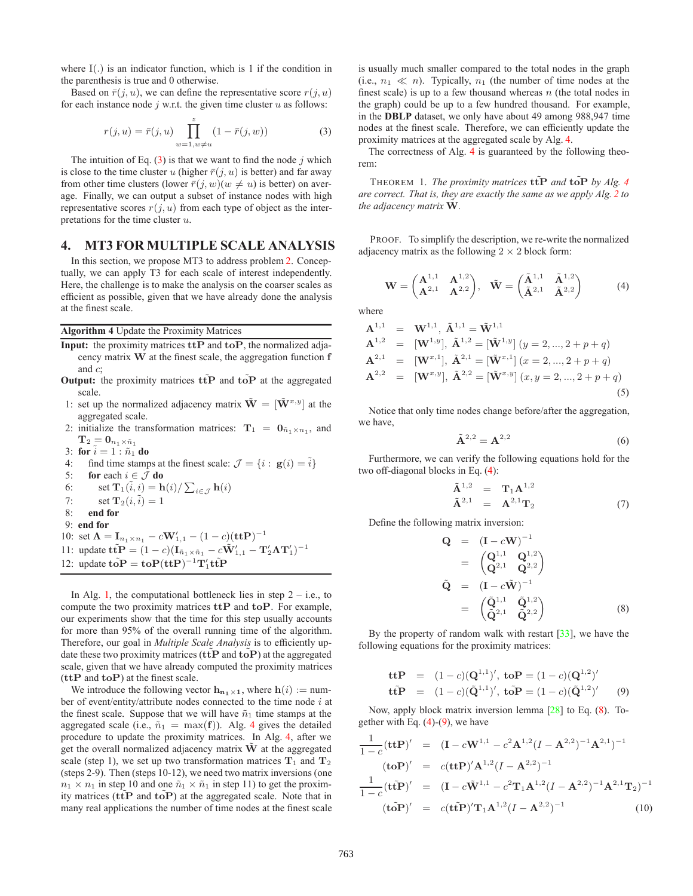where I(.) is an indicator function, which is 1 if the condition in the parenthesis is true and 0 otherwise.

Based on  $\bar{r}(i, u)$ , we can define the representative score  $r(i, u)$ for each instance node  $j$  w.r.t. the given time cluster  $u$  as follows:

$$
r(j, u) = \bar{r}(j, u) \prod_{w=1, w \neq u}^z (1 - \bar{r}(j, w))
$$
 (3)

<span id="page-4-0"></span>The intuition of Eq.  $(3)$  is that we want to find the node j which is close to the time cluster u (higher  $\bar{r}(j, u)$  is better) and far away from other time clusters (lower  $\bar{r}(j, w)(w \neq u)$  is better) on average. Finally, we can output a subset of instance nodes with high representative scores  $r(j, u)$  from each type of object as the interpretations for the time cluster  $u$ .

## **4. MT3 FOR MULTIPLE SCALE ANALYSIS**

In this section, we propose MT3 to address problem [2.](#page-2-4) Conceptually, we can apply T3 for each scale of interest independently. Here, the challenge is to make the analysis on the coarser scales as efficient as possible, given that we have already done the analysis at the finest scale.

#### <span id="page-4-1"></span>**Algorithm 4** Update the Proximity Matrices

- **Input:** the proximity matrices **ttP** and **toP**, the normalized adjacency matrix **W** at the finest scale, the aggregation function **f** and  $c$ ;
- **Output:** the proximity matrices **ttP** and **toP** at the aggregated scale.
- 1: set up the normalized adjacency matrix  $\tilde{\mathbf{W}} = [\tilde{\mathbf{W}}^{x,y}]$  at the aggregated scale.
- 2: initialize the transformation matrices:  $\mathbf{T}_1 = \mathbf{0}_{\tilde{n}_1 \times n_1}$ , and  $\mathbf{T}_2 = \mathbf{0}_{n_1 \times \tilde{n}_1}$
- 
- 3: **for**  $\tilde{i} = 1 : \tilde{n}_1$  **do**<br>4: **find** time stamp 4: find time stamps at the finest scale:  $\mathcal{J} = \{i : \mathbf{g}(i) = \tilde{i}\}\$ <br>5: **for** each  $i \in \mathcal{J}$  **do for** each  $i \in \mathcal{J}$  **do** 6: set  $\mathbf{T}_1(i, i) = \mathbf{h}(i) / \sum_{i \in \mathcal{J}} \mathbf{h}(i)$ 7: set  $\mathbf{T}_2(i, \tilde{i})=1$ <br>8: end for 8: **end for** 9: **end for** 10: set  $\Lambda = I_{n_1 \times n_1} - cW'_{1,1} - (1 - c)(\text{ttP})^{-1}$ <br>
11: undete tr $D = (1 - c)$

11: update  $\mathbf{t}\tilde{\mathbf{t}}\mathbf{P} = (1-c)(\mathbf{I}_{\tilde{n}_1}\times\tilde{n}_1 - c\tilde{\mathbf{W}}'_{1,1} - \mathbf{T}'_2\mathbf{\Lambda}\mathbf{T}'_1)^{-1}$ <br>12: update  $\tilde{\mathbf{t}}_1\tilde{\mathbf{D}} = \mathbf{t}_1\mathbf{D}(\mathbf{\Lambda}\mathbf{D})^{-1}\mathbf{T}'_1\tilde{\mathbf{\Lambda}}\tilde{\mathbf{D}}$ 12: update  $\tilde{\mathbf{toP}} = \mathbf{toP}(\mathbf{ttP})^{-1}\mathbf{T}'_1\mathbf{t}\tilde{\mathbf{tP}}$ 

In Alg. [1,](#page-3-0) the computational bottleneck lies in step  $2 - i.e.,$  to compute the two proximity matrices **ttP** and **toP**. For example, our experiments show that the time for this step usually accounts for more than 95% of the overall running time of the algorithm. Therefore, our goal in *Multiple Scale Analysis* is to efficiently update these two proximity matrices  $(\text{ttP}$  and  $\text{toP})$  at the aggregated scale, given that we have already computed the proximity matrices (**ttP** and **toP**) at the finest scale.

We introduce the following vector  $\mathbf{h}_{n_1 \times 1}$ , where  $\mathbf{h}(i) := \text{num}$ ber of event/entity/attribute nodes connected to the time node i at the finest scale. Suppose that we will have  $\tilde{n}_1$  time stamps at the aggregated scale (i.e.,  $\tilde{n}_1 = \max(\mathbf{f})$ ). Alg. [4](#page-4-1) gives the detailed procedure to update the proximity matrices. In Alg. [4,](#page-4-1) after we get the overall normalized adjacency matrix  $\bf{W}$  at the aggregated scale (step 1), we set up two transformation matrices  $T_1$  and  $T_2$ (steps 2-9). Then (steps 10-12), we need two matrix inversions (one  $n_1 \times n_1$  in step 10 and one  $\tilde{n}_1 \times \tilde{n}_1$  in step 11) to get the proximity matrices (ttP and toP) at the aggregated scale. Note that in many real applications the number of time nodes at the finest scale is usually much smaller compared to the total nodes in the graph (i.e.,  $n_1 \ll n$ ). Typically,  $n_1$  (the number of time nodes at the finest scale) is up to a few thousand whereas  $n$  (the total nodes in the graph) could be up to a few hundred thousand. For example, in the **DBLP** dataset, we only have about 49 among 988,947 time nodes at the finest scale. Therefore, we can efficiently update the proximity matrices at the aggregated scale by Alg. [4.](#page-4-1)

<span id="page-4-6"></span>The correctness of Alg. [4](#page-4-1) is guaranteed by the following theorem:

THEOREM 1. *The proximity matrices*  $\mathbf{t}\tilde{\mathbf{t}}\mathbf{P}$  *and*  $\mathbf{t}\tilde{\mathbf{o}}\mathbf{P}$  *by Alg.* [4](#page-4-1) *are correct. That is, they are exactly the same as we apply Alg. [2](#page-3-1) to the adjacency matrix*  $\tilde{W}$ *.* 

PROOF. To simplify the description, we re-write the normalized adjacency matrix as the following  $2 \times 2$  block form:

$$
\mathbf{W} = \begin{pmatrix} \mathbf{A}^{1,1} & \mathbf{A}^{1,2} \\ \mathbf{A}^{2,1} & \mathbf{A}^{2,2} \end{pmatrix}, \quad \tilde{\mathbf{W}} = \begin{pmatrix} \tilde{\mathbf{A}}^{1,1} & \tilde{\mathbf{A}}^{1,2} \\ \tilde{\mathbf{A}}^{2,1} & \tilde{\mathbf{A}}^{2,2} \end{pmatrix}
$$
 (4)

<span id="page-4-2"></span>where

$$
\mathbf{A}^{1,1} = \mathbf{W}^{1,1}, \tilde{\mathbf{A}}^{1,1} = \tilde{\mathbf{W}}^{1,1} \n\mathbf{A}^{1,2} = [\mathbf{W}^{1,y}], \tilde{\mathbf{A}}^{1,2} = [\tilde{\mathbf{W}}^{1,y}] \ (y = 2, ..., 2 + p + q) \n\mathbf{A}^{2,1} = [\mathbf{W}^{x,1}], \tilde{\mathbf{A}}^{2,1} = [\tilde{\mathbf{W}}^{x,1}] \ (x = 2, ..., 2 + p + q) \n\mathbf{A}^{2,2} = [\mathbf{W}^{x,y}], \tilde{\mathbf{A}}^{2,2} = [\tilde{\mathbf{W}}^{x,y}] \ (x, y = 2, ..., 2 + p + q)
$$
\n(5)

Notice that only time nodes change before/after the aggregation, we have,

$$
\tilde{\mathbf{A}}^{2,2} = \mathbf{A}^{2,2} \tag{6}
$$

Furthermore, we can verify the following equations hold for the two off-diagonal blocks in Eq. [\(4\)](#page-4-2):

$$
\tilde{\mathbf{A}}^{1,2} = \mathbf{T}_1 \mathbf{A}^{1,2} \n\tilde{\mathbf{A}}^{2,1} = \mathbf{A}^{2,1} \mathbf{T}_2
$$
\n(7)

<span id="page-4-3"></span>Define the following matrix inversion:

$$
Q = (I - cW)^{-1}
$$
  
=  $\begin{pmatrix} Q^{1,1} & Q^{1,2} \\ Q^{2,1} & Q^{2,2} \end{pmatrix}$   

$$
\tilde{Q} = (I - c\tilde{W})^{-1}
$$
  
=  $\begin{pmatrix} \tilde{Q}^{1,1} & \tilde{Q}^{1,2} \\ \tilde{Q}^{2,1} & \tilde{Q}^{2,2} \end{pmatrix}$  (8)

By the property of random walk with restart  $[33]$ , we have the following equations for the proximity matrices:

\n
$$
\begin{aligned}\n \text{ttP} &= (1-c)(\mathbf{Q}^{1,1})', \, \text{toP} = (1-c)(\mathbf{Q}^{1,2})' \\
 \text{ttP} &= (1-c)(\tilde{\mathbf{Q}}^{1,1})', \, \text{toP} = (1-c)(\tilde{\mathbf{Q}}^{1,2})' \\
 \end{aligned}
$$
\n

<span id="page-4-4"></span>Now, apply block matrix inversion lemma [\[28\]](#page-8-5) to Eq. [\(8\)](#page-4-3). Together with Eq.  $(4)-(9)$  $(4)-(9)$  $(4)-(9)$ , we have

<span id="page-4-5"></span>
$$
\frac{1}{1-c}(\mathbf{t}\mathbf{t}\mathbf{P})' = (\mathbf{I} - c\mathbf{W}^{1,1} - c^2\mathbf{A}^{1,2}(I - \mathbf{A}^{2,2})^{-1}\mathbf{A}^{2,1})^{-1}
$$
\n
$$
(\mathbf{t}\mathbf{o}\mathbf{P})' = c(\mathbf{t}\mathbf{t}\mathbf{P})'\mathbf{A}^{1,2}(I - \mathbf{A}^{2,2})^{-1}
$$
\n
$$
\frac{1}{1-c}(\mathbf{t}\mathbf{t}\mathbf{P})' = (\mathbf{I} - c\mathbf{\tilde{W}}^{1,1} - c^2\mathbf{T}_1\mathbf{A}^{1,2}(I - \mathbf{A}^{2,2})^{-1}\mathbf{A}^{2,1}\mathbf{T}_2)^{-1}
$$
\n
$$
(\mathbf{t}\mathbf{o}\mathbf{P})' = c(\mathbf{t}\mathbf{t}\mathbf{P})'\mathbf{T}_1\mathbf{A}^{1,2}(I - \mathbf{A}^{2,2})^{-1}
$$
\n(10)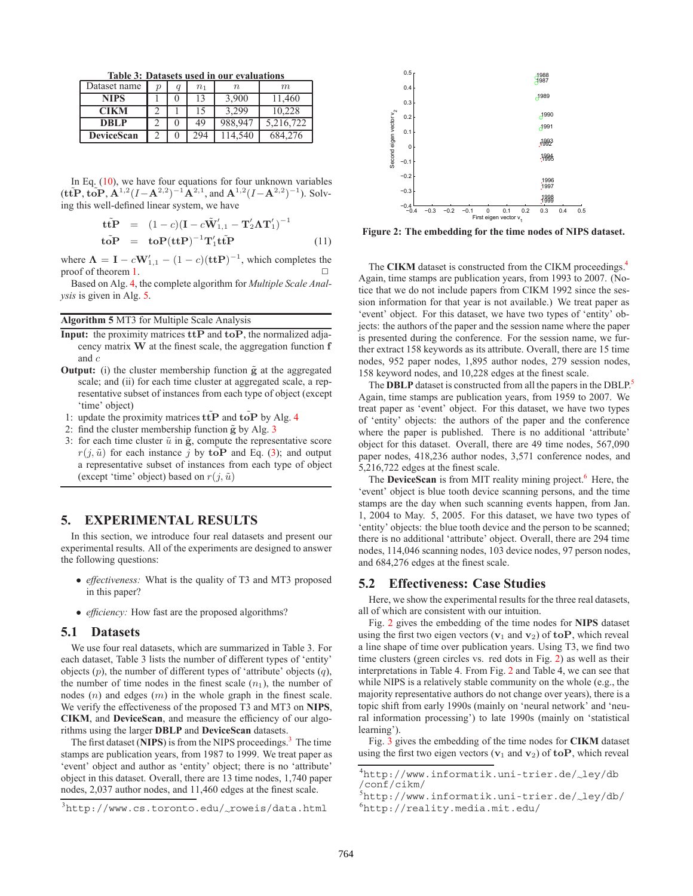**Table 3: Datasets used in our evaluations**

| Dataset name      | ŋ | q | n <sub>1</sub> | $\, n$  | m         |
|-------------------|---|---|----------------|---------|-----------|
| <b>NIPS</b>       |   |   |                | 3,900   | 11,460    |
| <b>CIKM</b>       |   |   |                | 3.299   | 10,228    |
| DBLP              |   |   | 49             | 988.947 | 5,216,722 |
| <b>DeviceScan</b> |   |   | 294            | 114.540 | 684.276   |

In Eq.  $(10)$ , we have four equations for four unknown variables  $(\mathbf{t}\tilde{\mathbf{t}}\tilde{\mathbf{P}}, \tilde{\mathbf{t}}\tilde{\mathbf{O}}\tilde{\mathbf{P}}, \mathbf{A}^{1,2}(I-\mathbf{A}^{2,2})^{-1}\mathbf{A}^{2,1}, \text{ and } \mathbf{A}^{1,2}(I-\mathbf{A}^{2,2})^{-1}).$  Solv-<br>ing this well-defined linear system, we have ing this well-defined linear system, we have

$$
\begin{aligned}\n\mathbf{t}\tilde{\mathbf{t}}\mathbf{P} &= (1-c)(\mathbf{I} - c\tilde{\mathbf{W}}'_{1,1} - \mathbf{T}'_2\mathbf{\Lambda}\mathbf{T}'_1)^{-1} \\
\mathbf{t}\tilde{\mathbf{o}}\mathbf{P} &= \mathbf{t}\mathbf{o}\mathbf{P}(\mathbf{t}\mathbf{t}\mathbf{P})^{-1}\mathbf{T}'_1\mathbf{t}\tilde{\mathbf{t}}\mathbf{P}\n\end{aligned} \tag{11}
$$

where  $\Lambda = I - cW'_{1,1} - (1 - c)(\text{ttP})^{-1}$ , which completes the proof of theorem [1.](#page-4-6)

Based on Alg. [4,](#page-4-1) the complete algorithm for *Multiple Scale Analysis* is given in Alg. [5.](#page-5-0)

#### <span id="page-5-0"></span>**Algorithm 5** MT3 for Multiple Scale Analysis

- **Input:** the proximity matrices **ttP** and **toP**, the normalized adjacency matrix **W** at the finest scale, the aggregation function **f** and c
- **Output:** (i) the cluster membership function  $\tilde{g}$  at the aggregated scale; and (ii) for each time cluster at aggregated scale, a representative subset of instances from each type of object (except 'time' object)
- 1: update the proximity matrices  $\text{ttP}$  and  $\text{toP}$  by Alg. [4](#page-4-1)
- 2: find the cluster membership function  $\tilde{g}$  by Alg. [3](#page-3-2)
- 3: for each time cluster  $\tilde{u}$  in  $\tilde{g}$ , compute the representative score  $r(j, \tilde{u})$  for each instance j by **toP** and Eq. [\(3\)](#page-4-0); and output a representative subset of instances from each type of object (except 'time' object) based on  $r(j, \tilde{u})$

## **5. EXPERIMENTAL RESULTS**

In this section, we introduce four real datasets and present our experimental results. All of the experiments are designed to answer the following questions:

- *effectiveness:* What is the quality of T3 and MT3 proposed in this paper?
- *efficiency*: How fast are the proposed algorithms?

#### **5.1 Datasets**

We use four real datasets, which are summarized in Table 3. For each dataset, Table 3 lists the number of different types of 'entity' objects  $(p)$ , the number of different types of 'attribute' objects  $(q)$ , the number of time nodes in the finest scale  $(n_1)$ , the number of nodes  $(n)$  and edges  $(m)$  in the whole graph in the finest scale. We verify the effectiveness of the proposed T3 and MT3 on **NIPS**, **CIKM**, and **DeviceScan**, and measure the efficiency of our algorithms using the larger **DBLP** and **DeviceScan** datasets.

The first dataset (**NIPS**) is from the NIPS proceedings.<sup>[3](#page-5-1)</sup> The time stamps are publication years, from 1987 to 1999. We treat paper as 'event' object and author as 'entity' object; there is no 'attribute' object in this dataset. Overall, there are 13 time nodes, 1,740 paper nodes, 2,037 author nodes, and 11,460 edges at the finest scale.



<span id="page-5-5"></span>**Figure 2: The embedding for the time nodes of NIPS dataset.**

The **CIKM** dataset is constructed from the CIKM proceedings.<sup>4</sup> Again, time stamps are publication years, from 1993 to 2007. (Notice that we do not include papers from CIKM 1992 since the session information for that year is not available.) We treat paper as 'event' object. For this dataset, we have two types of 'entity' objects: the authors of the paper and the session name where the paper is presented during the conference. For the session name, we further extract 158 keywords as its attribute. Overall, there are 15 time nodes, 952 paper nodes, 1,895 author nodes, 279 session nodes, 158 keyword nodes, and 10,228 edges at the finest scale.

The **DBLP** dataset is constructed from all the papers in the DBLP.<sup>5</sup> Again, time stamps are publication years, from 1959 to 2007. We treat paper as 'event' object. For this dataset, we have two types of 'entity' objects: the authors of the paper and the conference where the paper is published. There is no additional 'attribute' object for this dataset. Overall, there are 49 time nodes, 567,090 paper nodes, 418,236 author nodes, 3,571 conference nodes, and 5,216,722 edges at the finest scale.

The **DeviceScan** is from MIT reality mining project.<sup>6</sup> Here, the 'event' object is blue tooth device scanning persons, and the time stamps are the day when such scanning events happen, from Jan. 1, 2004 to May. 5, 2005. For this dataset, we have two types of 'entity' objects: the blue tooth device and the person to be scanned; there is no additional 'attribute' object. Overall, there are 294 time nodes, 114,046 scanning nodes, 103 device nodes, 97 person nodes, and 684,276 edges at the finest scale.

## **5.2 Effectiveness: Case Studies**

Here, we show the experimental results for the three real datasets, all of which are consistent with our intuition.

Fig. [2](#page-5-5) gives the embedding of the time nodes for **NIPS** dataset using the first two eigen vectors  $(v_1 \text{ and } v_2)$  of  $\text{toP}$ , which reveal a line shape of time over publication years. Using T3, we find two time clusters (green circles vs. red dots in Fig. [2\)](#page-5-5) as well as their interpretations in Table 4. From Fig. [2](#page-5-5) and Table 4, we can see that while NIPS is a relatively stable community on the whole (e.g., the majority representative authors do not change over years), there is a topic shift from early 1990s (mainly on 'neural network' and 'neural information processing') to late 1990s (mainly on 'statistical learning').

Fig. [3](#page-6-0) gives the embedding of the time nodes for **CIKM** dataset using the first two eigen vectors  $(v_1 \text{ and } v_2)$  of  $to \text{P}$ , which reveal

<span id="page-5-1"></span> $3$ http://www.cs.toronto.edu/ $\sim$ roweis/data.html

<sup>4</sup> http://www.informatik.uni-trier.de/~ley/db

<span id="page-5-3"></span><span id="page-5-2"></span><sup>/</sup>conf/cikm/

<span id="page-5-4"></span> $^{5}$ http://www.informatik.uni-trier.de/ $\sim$ ley/db/<br> $^{6}$ http://roality.modia.mit.odu/ http://reality.media.mit.edu/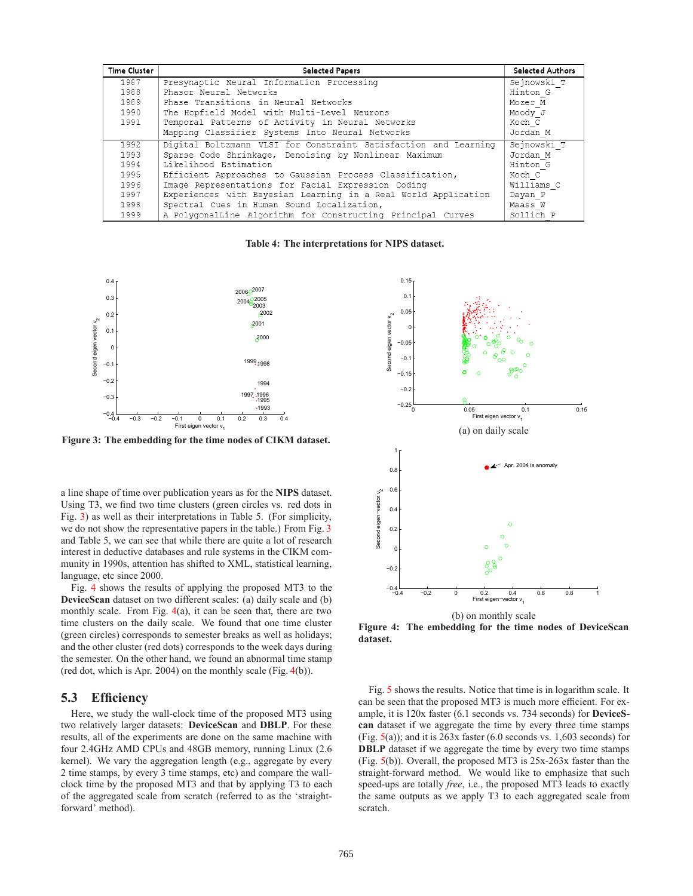| <b>Time Cluster</b> | <b>Selected Papers</b>                                          | <b>Selected Authors</b> |
|---------------------|-----------------------------------------------------------------|-------------------------|
| 1987                | Presynaptic Neural Information Processing                       | Sejnowski T             |
| 1988                | Phasor Neural Networks                                          | Hinton G                |
| 1989                | Phase Transitions in Neural Networks                            | Mozer M                 |
| 1990                | The Hopfield Model with Multi-Level Neurons                     | Moody J                 |
| 1991                | Temporal Patterns of Activity in Neural Networks                | Koch C                  |
|                     | Mapping Classifier Systems Into Neural Networks                 | Jordan M                |
| 1992                | Digital Boltzmann VLSI for Constraint Satisfaction and Learning | Sejnowski T             |
| 1993                | Sparse Code Shrinkage, Denoising by Nonlinear Maximum           | Jordan M                |
| 1994                | Likelihood Estimation                                           | Hinton G                |
| 1995                | Efficient Approaches to Gaussian Process Classification,        | Koch C                  |
| 1996                | Image Representations for Facial Expression Coding              | Williams C              |
| 1997                | Experiences with Bayesian Learning in a Real World Application  | Dayan P                 |
| 1998                | Spectral Cues in Human Sound Localization,                      | Maass W                 |
| 1999                | A PolygonalLine Algorithm for Constructing Principal Curves     | Sollich P               |

**Table 4: The interpretations for NIPS dataset.**



<span id="page-6-0"></span>**Figure 3: The embedding for the time nodes of CIKM dataset.**

a line shape of time over publication years as for the **NIPS** dataset. Using T3, we find two time clusters (green circles vs. red dots in Fig. [3\)](#page-6-0) as well as their interpretations in Table 5. (For simplicity, we do not show the representative papers in the table.) From Fig. [3](#page-6-0) and Table 5, we can see that while there are quite a lot of research interest in deductive databases and rule systems in the CIKM community in 1990s, attention has shifted to XML, statistical learning, language, etc since 2000.

Fig. [4](#page-6-1) shows the results of applying the proposed MT3 to the **DeviceScan** dataset on two different scales: (a) daily scale and (b) monthly scale. From Fig.  $4(a)$  $4(a)$ , it can be seen that, there are two time clusters on the daily scale. We found that one time cluster (green circles) corresponds to semester breaks as well as holidays; and the other cluster (red dots) corresponds to the week days during the semester. On the other hand, we found an abnormal time stamp (red dot, which is Apr. 2004) on the monthly scale (Fig. [4\(](#page-6-1)b)).

## **5.3 Efficiency**

Here, we study the wall-clock time of the proposed MT3 using two relatively larger datasets: **DeviceScan** and **DBLP**. For these results, all of the experiments are done on the same machine with four 2.4GHz AMD CPUs and 48GB memory, running Linux (2.6 kernel). We vary the aggregation length (e.g., aggregate by every 2 time stamps, by every 3 time stamps, etc) and compare the wallclock time by the proposed MT3 and that by applying T3 to each of the aggregated scale from scratch (referred to as the 'straightforward' method).



(b) on monthly scale

<span id="page-6-1"></span>**Figure 4: The embedding for the time nodes of DeviceScan dataset.**

Fig. [5](#page-7-0) shows the results. Notice that time is in logarithm scale. It can be seen that the proposed MT3 is much more efficient. For example, it is 120x faster (6.1 seconds vs. 734 seconds) for **DeviceScan** dataset if we aggregate the time by every three time stamps (Fig.  $5(a)$  $5(a)$ ); and it is 263x faster (6.0 seconds vs. 1,603 seconds) for **DBLP** dataset if we aggregate the time by every two time stamps (Fig. [5\(](#page-7-0)b)). Overall, the proposed MT3 is 25x-263x faster than the straight-forward method. We would like to emphasize that such speed-ups are totally *free*, i.e., the proposed MT3 leads to exactly the same outputs as we apply T3 to each aggregated scale from scratch.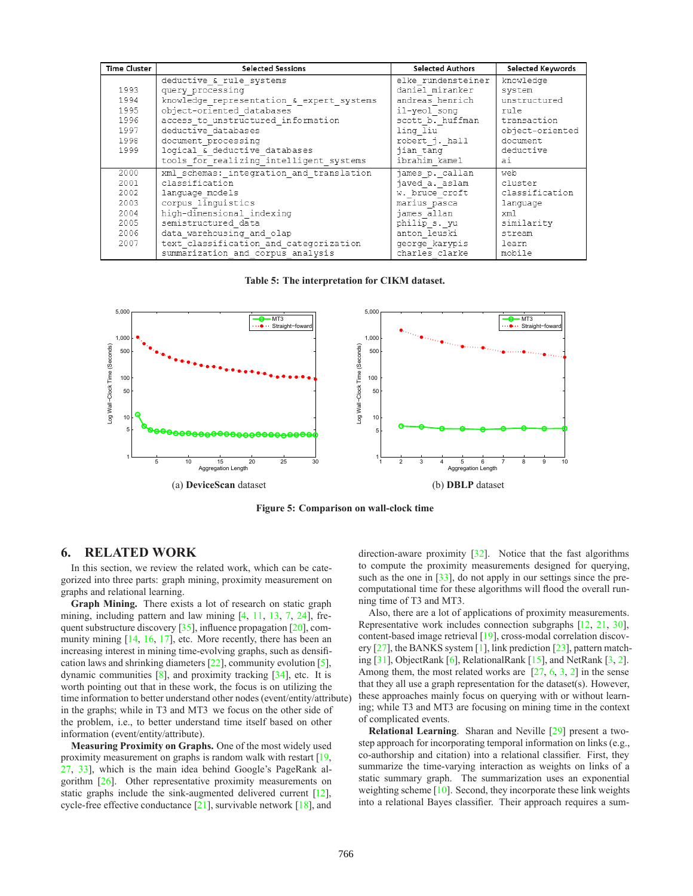| <b>Time Cluster</b> | <b>Selected Sessions</b>                          | <b>Selected Authors</b> | Selected Keywords |
|---------------------|---------------------------------------------------|-------------------------|-------------------|
|                     | deductive & rule systems                          | elke rundensteiner      | knowledge         |
| 1993                | query processing                                  | daniel miranker         | system            |
| 1994                | knowledge representation & expert systems         | andreas henrich         | unstructured      |
| 1995                | object-oriented databases                         | il-yeol song            | rule              |
| 1996                | access to unstructured information                | scott b. huffman        | transaction       |
| 1997                | deductive databases                               | ling liu                | object-oriented   |
| 1998                | document processing                               | robert j. hall          | document          |
| 1999                | logical $\overline{s}$ deductive databases        | jian tang               | deductive         |
|                     | tools for realizing intelligent systems           | ibrahim kamel           | ai                |
| 2000                | xml schemas: integration and translation          | james p. callan         | web               |
| 2001                | classification                                    | javed a. aslam          | cluster           |
| 2002                | language models                                   | w. bruce croft          | classification    |
| 2003                | corpus linguistics                                | marius_pasca            | language          |
| 2004                | high-dimensional indexing                         | james allan             | xm1               |
| 2005                | semistructured data                               | philip s. yu            | similarity        |
| 2006                | data warehousing and olap                         | anton leuski            | stream            |
| 2007                | text <sup>classification</sup> and categorization | george karypis          | learn             |
|                     | summarization and corpus analysis                 | charles clarke          | mobile            |

**Table 5: The interpretation for CIKM dataset.**



**Figure 5: Comparison on wall-clock time**

## **6. RELATED WORK**

In this section, we review the related work, which can be categorized into three parts: graph mining, proximity measurement on graphs and relational learning.

**Graph Mining.** There exists a lot of research on static graph mining, including pattern and law mining [\[4,](#page-8-6) [11,](#page-8-7) [13,](#page-8-8) [7,](#page-8-9) [24\]](#page-8-10), frequent substructure discovery [\[35\]](#page-8-11), influence propagation [\[20\]](#page-8-12), com-munity mining [\[14,](#page-8-13) [16,](#page-8-14) [17\]](#page-8-15), etc. More recently, there has been an increasing interest in mining time-evolving graphs, such as densification laws and shrinking diameters [\[22\]](#page-8-16), community evolution [\[5\]](#page-8-17), dynamic communities [\[8\]](#page-8-18), and proximity tracking [\[34\]](#page-8-19), etc. It is worth pointing out that in these work, the focus is on utilizing the time information to better understand other nodes (event/entity/attribute) in the graphs; while in T3 and MT3 we focus on the other side of the problem, i.e., to better understand time itself based on other information (event/entity/attribute).

**Measuring Proximity on Graphs.** One of the most widely used proximity measurement on graphs is random walk with restart [\[19,](#page-8-0) [27,](#page-8-1) [33\]](#page-8-2), which is the main idea behind Google's PageRank algorithm [\[26\]](#page-8-20). Other representative proximity measurements on static graphs include the sink-augmented delivered current [\[12\]](#page-8-21), cycle-free effective conductance  $[21]$ , survivable network  $[18]$ , and

<span id="page-7-0"></span>direction-aware proximity [\[32\]](#page-8-24). Notice that the fast algorithms to compute the proximity measurements designed for querying, such as the one in [\[33\]](#page-8-2), do not apply in our settings since the precomputational time for these algorithms will flood the overall running time of T3 and MT3.

Also, there are a lot of applications of proximity measurements. Representative work includes connection subgraphs [\[12,](#page-8-21) [21,](#page-8-22) [30\]](#page-8-25), content-based image retrieval [\[19\]](#page-8-0), cross-modal correlation discovery [\[27\]](#page-8-1), the BANKS system [\[1\]](#page-8-26), link prediction [\[23\]](#page-8-27), pattern matching [\[31\]](#page-8-28), ObjectRank [\[6\]](#page-8-29), RelationalRank [\[15\]](#page-8-30), and NetRank [\[3,](#page-8-31) [2\]](#page-8-32). Among them, the most related works are [\[27,](#page-8-1) [6,](#page-8-29) [3,](#page-8-31) [2\]](#page-8-32) in the sense that they all use a graph representation for the dataset(s). However, these approaches mainly focus on querying with or without learning; while T3 and MT3 are focusing on mining time in the context of complicated events.

**Relational Learning.** Sharan and Neville [\[29\]](#page-8-33) present a twostep approach for incorporating temporal information on links (e.g., co-authorship and citation) into a relational classifier. First, they summarize the time-varying interaction as weights on links of a static summary graph. The summarization uses an exponential weighting scheme [\[10\]](#page-8-34). Second, they incorporate these link weights into a relational Bayes classifier. Their approach requires a sum